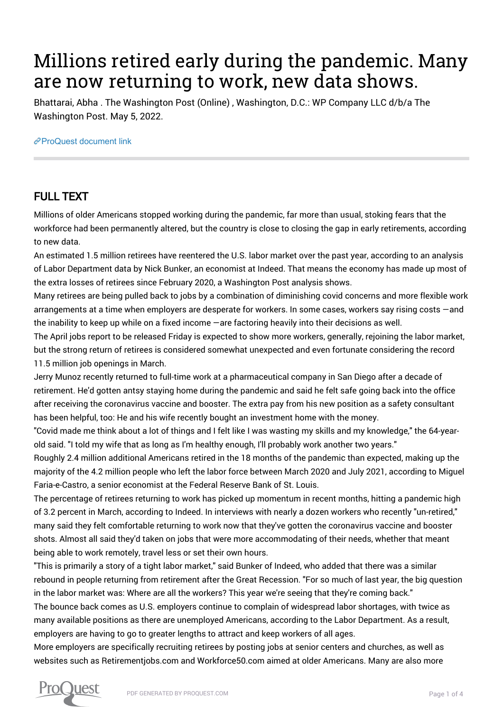## Millions retired early during the pandemic. Many are now returning to work, new data shows.

Bhattarai, Abha . The Washington Post (Online) , Washington, D.C.: WP Company LLC d/b/a The Washington Post. May 5, 2022.

[ProQuest document link](https://www.proquest.com/blogs-podcasts-websites/millions-retired-early-during-pandemic-many-are/docview/2659827346/se-2?accountid=44910)

## FULL TEXT

Millions of older Americans stopped working during the pandemic, far more than usual, stoking fears that the workforce had been permanently altered, but the country is close to closing the gap in early retirements, according to new data.

An estimated 1.5 million retirees have reentered the U.S. labor market over the past year, according to an analysis of Labor Department data by Nick Bunker, an economist at Indeed. That means the economy has made up most of the extra losses of retirees since February 2020, a Washington Post analysis shows.

Many retirees are being pulled back to jobs by a combination of diminishing covid concerns and more flexible work arrangements at a time when employers are desperate for workers. In some cases, workers say rising costs —and the inability to keep up while on a fixed income —are factoring heavily into their decisions as well.

The April jobs report to be released Friday is expected to show more workers, generally, rejoining the labor market, but the strong return of retirees is considered somewhat unexpected and even fortunate considering the record 11.5 million job openings in March.

Jerry Munoz recently returned to full-time work at a pharmaceutical company in San Diego after a decade of retirement. He'd gotten antsy staying home during the pandemic and said he felt safe going back into the office after receiving the coronavirus vaccine and booster. The extra pay from his new position as a safety consultant has been helpful, too: He and his wife recently bought an investment home with the money.

"Covid made me think about a lot of things and I felt like I was wasting my skills and my knowledge," the 64-yearold said. "I told my wife that as long as I'm healthy enough, I'll probably work another two years."

Roughly 2.4 million additional Americans retired in the 18 months of the pandemic than expected, making up the majority of the 4.2 million people who left the labor force between March 2020 and July 2021, according to Miguel Faria-e-Castro, a senior economist at the Federal Reserve Bank of St. Louis.

The percentage of retirees returning to work has picked up momentum in recent months, hitting a pandemic high of 3.2 percent in March, according to Indeed. In interviews with nearly a dozen workers who recently "un-retired," many said they felt comfortable returning to work now that they've gotten the coronavirus vaccine and booster shots. Almost all said they'd taken on jobs that were more accommodating of their needs, whether that meant being able to work remotely, travel less or set their own hours.

"This is primarily a story of a tight labor market," said Bunker of Indeed, who added that there was a similar rebound in people returning from retirement after the Great Recession. "For so much of last year, the big question in the labor market was: Where are all the workers? This year we're seeing that they're coming back."

The bounce back comes as U.S. employers continue to complain of widespread labor shortages, with twice as many available positions as there are unemployed Americans, according to the Labor Department. As a result, employers are having to go to greater lengths to attract and keep workers of all ages.

More employers are specifically recruiting retirees by posting jobs at senior centers and churches, as well as websites such as Retirementjobs.com and Workforce50.com aimed at older Americans. Many are also more

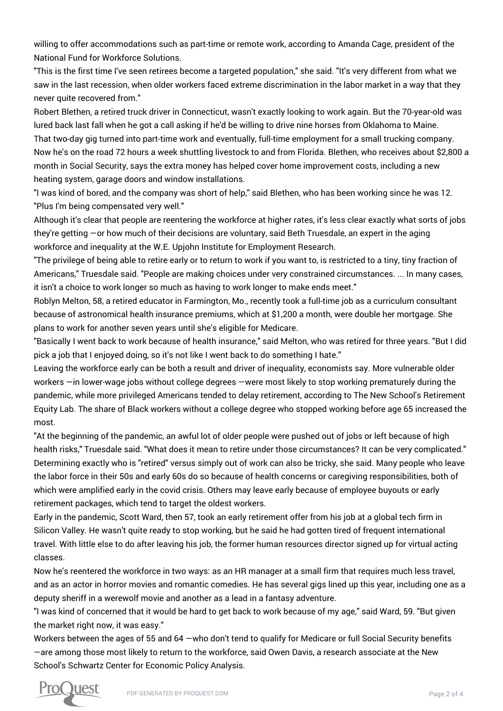willing to offer accommodations such as part-time or remote work, according to Amanda Cage, president of the National Fund for Workforce Solutions.

"This is the first time I've seen retirees become a targeted population," she said. "It's very different from what we saw in the last recession, when older workers faced extreme discrimination in the labor market in a way that they never quite recovered from."

Robert Blethen, a retired truck driver in Connecticut, wasn't exactly looking to work again. But the 70-year-old was lured back last fall when he got a call asking if he'd be willing to drive nine horses from Oklahoma to Maine. That two-day gig turned into part-time work and eventually, full-time employment for a small trucking company. Now he's on the road 72 hours a week shuttling livestock to and from Florida. Blethen, who receives about \$2,800 a month in Social Security, says the extra money has helped cover home improvement costs, including a new heating system, garage doors and window installations.

"I was kind of bored, and the company was short of help," said Blethen, who has been working since he was 12. "Plus I'm being compensated very well."

Although it's clear that people are reentering the workforce at higher rates, it's less clear exactly what sorts of jobs they're getting —or how much of their decisions are voluntary, said Beth Truesdale, an expert in the aging workforce and inequality at the W.E. Upjohn Institute for Employment Research.

"The privilege of being able to retire early or to return to work if you want to, is restricted to a tiny, tiny fraction of Americans," Truesdale said. "People are making choices under very constrained circumstances. ... In many cases, it isn't a choice to work longer so much as having to work longer to make ends meet."

Roblyn Melton, 58, a retired educator in Farmington, Mo., recently took a full-time job as a curriculum consultant because of astronomical health insurance premiums, which at \$1,200 a month, were double her mortgage. She plans to work for another seven years until she's eligible for Medicare.

"Basically I went back to work because of health insurance," said Melton, who was retired for three years. "But I did pick a job that I enjoyed doing, so it's not like I went back to do something I hate."

Leaving the workforce early can be both a result and driver of inequality, economists say. More vulnerable older workers —in lower-wage jobs without college degrees —were most likely to stop working prematurely during the pandemic, while more privileged Americans tended to delay retirement, according to The New School's Retirement Equity Lab. The share of Black workers without a college degree who stopped working before age 65 increased the most.

"At the beginning of the pandemic, an awful lot of older people were pushed out of jobs or left because of high health risks," Truesdale said. "What does it mean to retire under those circumstances? It can be very complicated." Determining exactly who is "retired" versus simply out of work can also be tricky, she said. Many people who leave the labor force in their 50s and early 60s do so because of health concerns or caregiving responsibilities, both of which were amplified early in the covid crisis. Others may leave early because of employee buyouts or early retirement packages, which tend to target the oldest workers.

Early in the pandemic, Scott Ward, then 57, took an early retirement offer from his job at a global tech firm in Silicon Valley. He wasn't quite ready to stop working, but he said he had gotten tired of frequent international travel. With little else to do after leaving his job, the former human resources director signed up for virtual acting classes.

Now he's reentered the workforce in two ways: as an HR manager at a small firm that requires much less travel, and as an actor in horror movies and romantic comedies. He has several gigs lined up this year, including one as a deputy sheriff in a werewolf movie and another as a lead in a fantasy adventure.

"I was kind of concerned that it would be hard to get back to work because of my age," said Ward, 59. "But given the market right now, it was easy."

Workers between the ages of 55 and 64 —who don't tend to qualify for Medicare or full Social Security benefits —are among those most likely to return to the workforce, said Owen Davis, a research associate at the New School's Schwartz Center for Economic Policy Analysis.

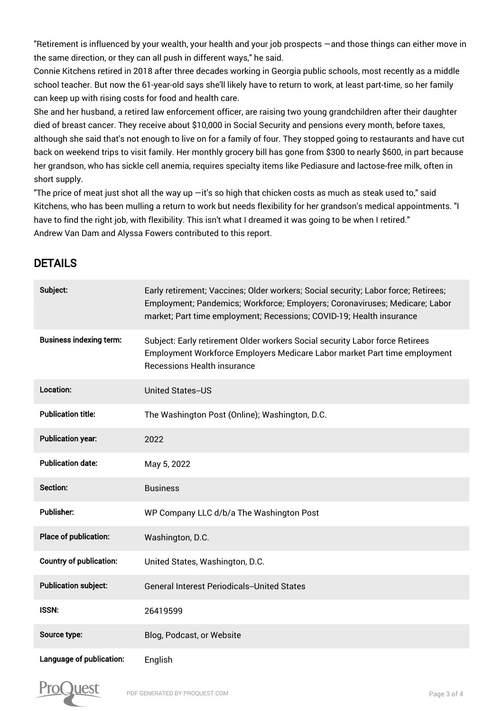"Retirement is influenced by your wealth, your health and your job prospects —and those things can either move in the same direction, or they can all push in different ways," he said.

Connie Kitchens retired in 2018 after three decades working in Georgia public schools, most recently as a middle school teacher. But now the 61-year-old says she'll likely have to return to work, at least part-time, so her family can keep up with rising costs for food and health care.

She and her husband, a retired law enforcement officer, are raising two young grandchildren after their daughter died of breast cancer. They receive about \$10,000 in Social Security and pensions every month, before taxes, although she said that's not enough to live on for a family of four. They stopped going to restaurants and have cut back on weekend trips to visit family. Her monthly grocery bill has gone from \$300 to nearly \$600, in part because her grandson, who has sickle cell anemia, requires specialty items like Pediasure and lactose-free milk, often in short supply.

"The price of meat just shot all the way up —it's so high that chicken costs as much as steak used to," said Kitchens, who has been mulling a return to work but needs flexibility for her grandson's medical appointments. "I have to find the right job, with flexibility. This isn't what I dreamed it was going to be when I retired." Andrew Van Dam and Alyssa Fowers contributed to this report.

## DETAILS

| Subject:                       | Early retirement; Vaccines; Older workers; Social security; Labor force; Retirees;<br>Employment; Pandemics; Workforce; Employers; Coronaviruses; Medicare; Labor<br>market; Part time employment; Recessions; COVID-19; Health insurance |
|--------------------------------|-------------------------------------------------------------------------------------------------------------------------------------------------------------------------------------------------------------------------------------------|
| <b>Business indexing term:</b> | Subject: Early retirement Older workers Social security Labor force Retirees<br>Employment Workforce Employers Medicare Labor market Part time employment<br><b>Recessions Health insurance</b>                                           |
| Location:                      | <b>United States--US</b>                                                                                                                                                                                                                  |
| <b>Publication title:</b>      | The Washington Post (Online); Washington, D.C.                                                                                                                                                                                            |
| <b>Publication year:</b>       | 2022                                                                                                                                                                                                                                      |
| <b>Publication date:</b>       | May 5, 2022                                                                                                                                                                                                                               |
| Section:                       | <b>Business</b>                                                                                                                                                                                                                           |
| <b>Publisher:</b>              | WP Company LLC d/b/a The Washington Post                                                                                                                                                                                                  |
| Place of publication:          | Washington, D.C.                                                                                                                                                                                                                          |
| Country of publication:        | United States, Washington, D.C.                                                                                                                                                                                                           |
| <b>Publication subject:</b>    | <b>General Interest Periodicals--United States</b>                                                                                                                                                                                        |
| <b>ISSN:</b>                   | 26419599                                                                                                                                                                                                                                  |
| Source type:                   | Blog, Podcast, or Website                                                                                                                                                                                                                 |
| Language of publication:       | English                                                                                                                                                                                                                                   |